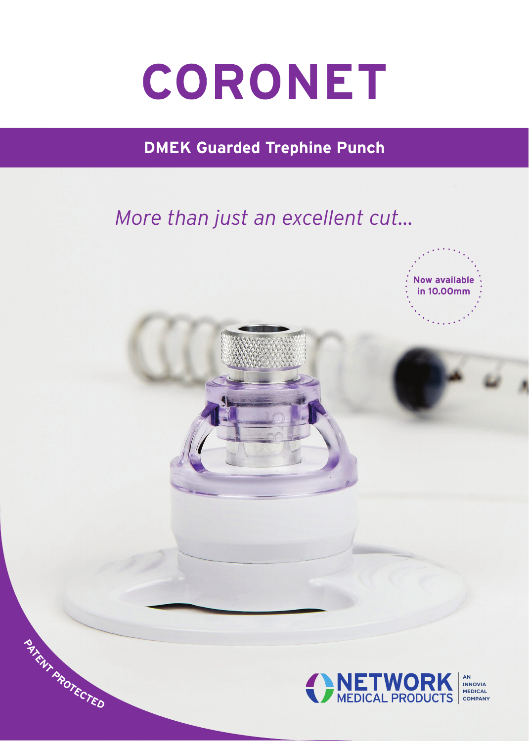# CORONET

**DMEK Guarded Trephine Punch**

### *More than just an excellent cut...*

**<sup>P</sup>ATEN<sup>T</sup> <sup>P</sup>ROTECTE<sup>D</sup>**



**INNOVIA MEDICAL COMPANY**

**Now available in 10.00mm**